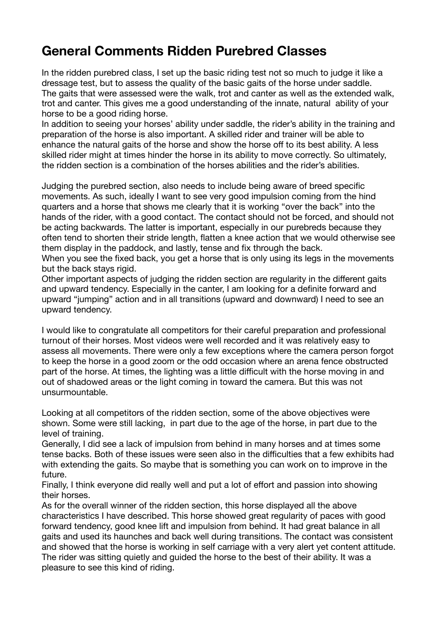## **General Comments Ridden Purebred Classes**

In the ridden purebred class, I set up the basic riding test not so much to judge it like a dressage test, but to assess the quality of the basic gaits of the horse under saddle. The gaits that were assessed were the walk, trot and canter as well as the extended walk, trot and canter. This gives me a good understanding of the innate, natural ability of your horse to be a good riding horse.

In addition to seeing your horses' ability under saddle, the rider's ability in the training and preparation of the horse is also important. A skilled rider and trainer will be able to enhance the natural gaits of the horse and show the horse off to its best ability. A less skilled rider might at times hinder the horse in its ability to move correctly. So ultimately, the ridden section is a combination of the horses abilities and the rider's abilities.

Judging the purebred section, also needs to include being aware of breed specific movements. As such, ideally I want to see very good impulsion coming from the hind quarters and a horse that shows me clearly that it is working "over the back" into the hands of the rider, with a good contact. The contact should not be forced, and should not be acting backwards. The latter is important, especially in our purebreds because they often tend to shorten their stride length, flatten a knee action that we would otherwise see them display in the paddock, and lastly, tense and fix through the back.

When you see the fixed back, you get a horse that is only using its legs in the movements but the back stays rigid.

Other important aspects of judging the ridden section are regularity in the different gaits and upward tendency. Especially in the canter, I am looking for a definite forward and upward "jumping" action and in all transitions (upward and downward) I need to see an upward tendency.

I would like to congratulate all competitors for their careful preparation and professional turnout of their horses. Most videos were well recorded and it was relatively easy to assess all movements. There were only a few exceptions where the camera person forgot to keep the horse in a good zoom or the odd occasion where an arena fence obstructed part of the horse. At times, the lighting was a little difficult with the horse moving in and out of shadowed areas or the light coming in toward the camera. But this was not unsurmountable.

Looking at all competitors of the ridden section, some of the above objectives were shown. Some were still lacking, in part due to the age of the horse, in part due to the level of training.

Generally, I did see a lack of impulsion from behind in many horses and at times some tense backs. Both of these issues were seen also in the difficulties that a few exhibits had with extending the gaits. So maybe that is something you can work on to improve in the future.

Finally, I think everyone did really well and put a lot of effort and passion into showing their horses.

As for the overall winner of the ridden section, this horse displayed all the above characteristics I have described. This horse showed great regularity of paces with good forward tendency, good knee lift and impulsion from behind. It had great balance in all gaits and used its haunches and back well during transitions. The contact was consistent and showed that the horse is working in self carriage with a very alert yet content attitude. The rider was sitting quietly and guided the horse to the best of their ability. It was a pleasure to see this kind of riding.